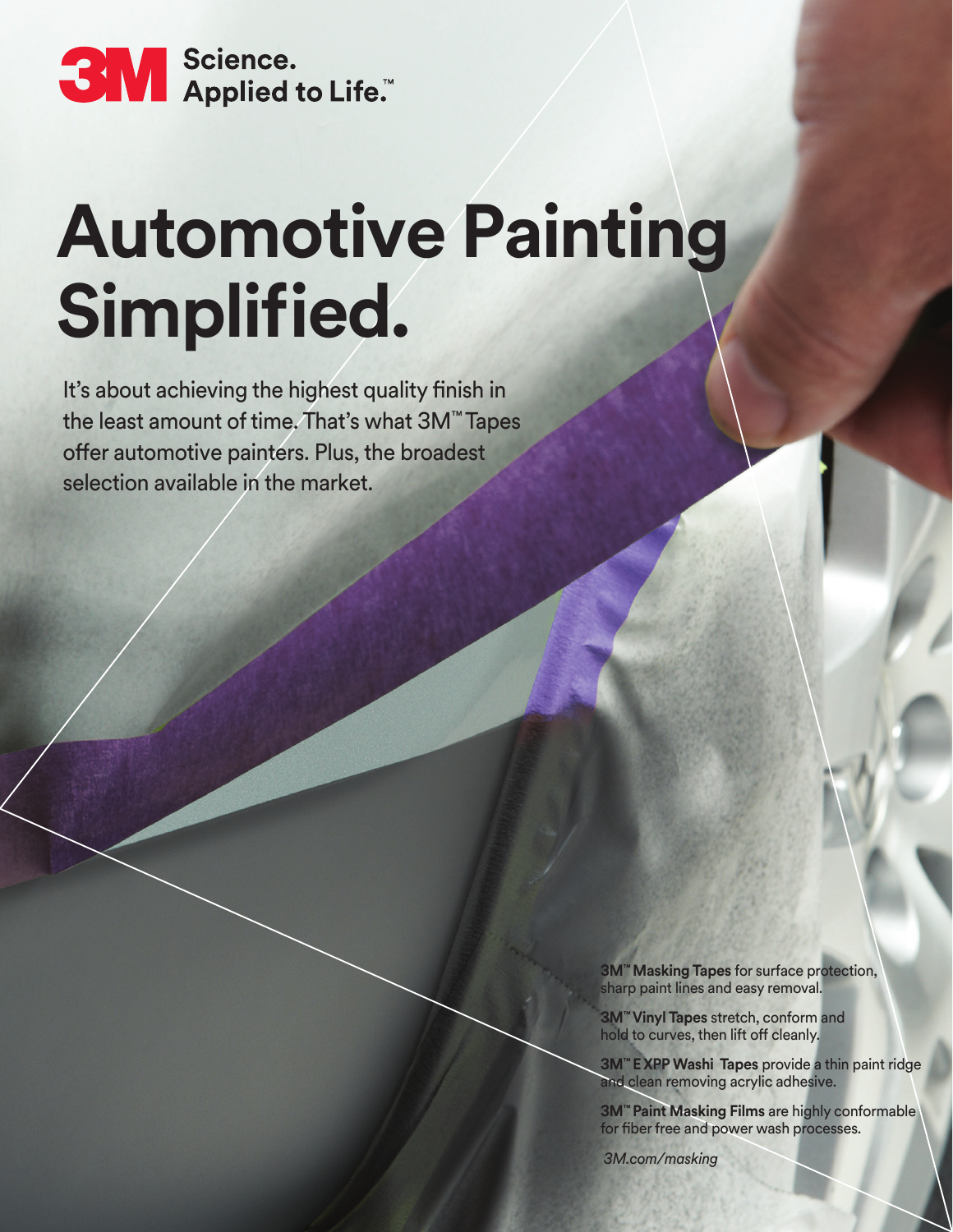

## **Automotive Painting Simplified.**

It's about achieving the highest quality finish in the least amount of time. That's what 3M™ Tapes offer automotive painters. Plus, the broadest selection available in the market.

> **3M™ Masking Tapes** for surface protection, sharp paint lines and easy removal.

**3M™ Vinyl Tapes** stretch, conform and hold to curves, then lift off cleanly.

**3M™ E XPP Washi Tapes** provide a thin paint ridge and clean removing acrylic adhesive.

**3M™ Paint Masking Films** are highly conformable for fiber free and power wash processes.

 *3M.com/masking*